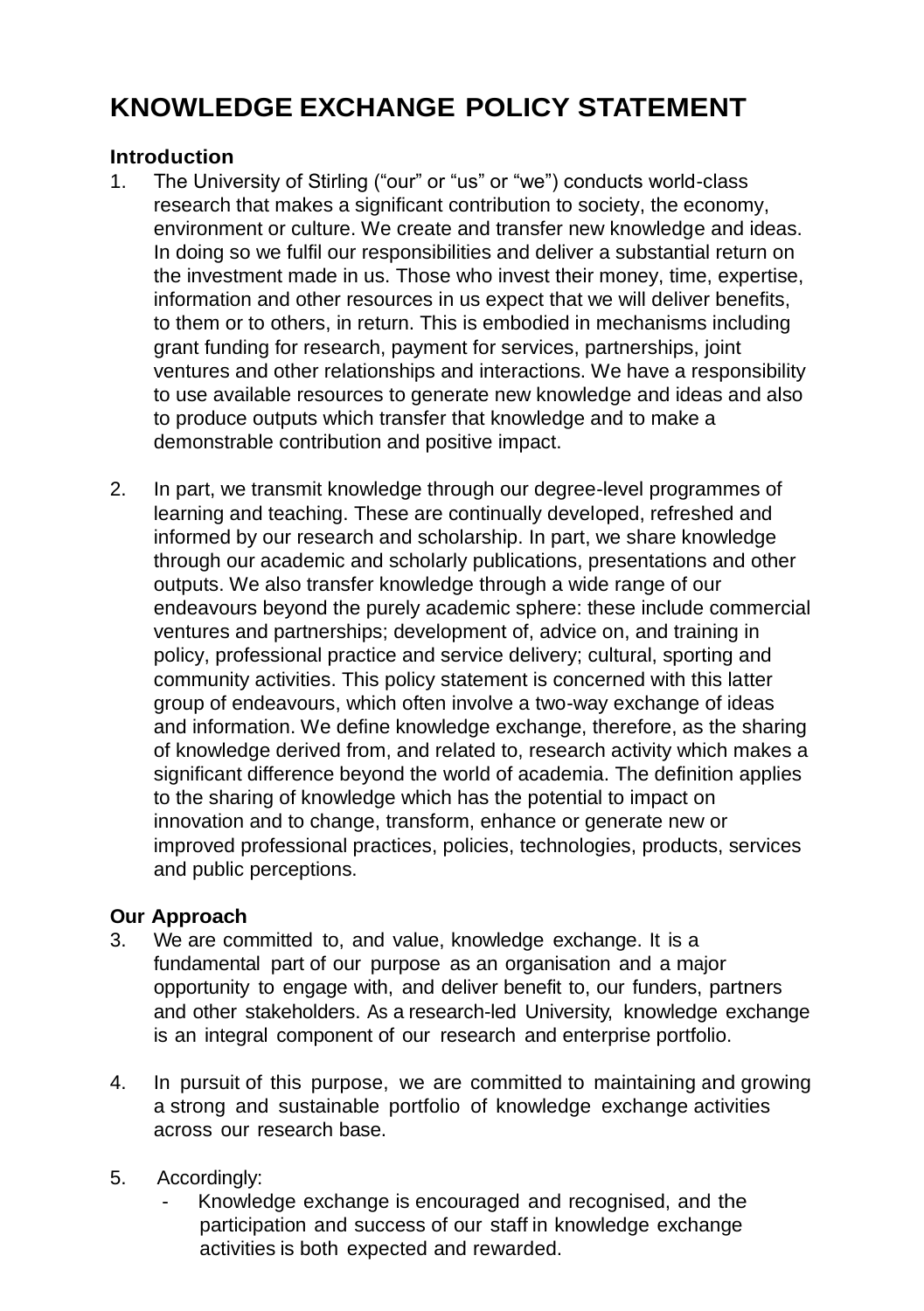## **KNOWLEDGE EXCHANGE POLICY STATEMENT**

## **Introduction**

- 1. The University of Stirling ("our" or "us" or "we") conducts world-class research that makes a significant contribution to society, the economy, environment or culture. We create and transfer new knowledge and ideas. In doing so we fulfil our responsibilities and deliver a substantial return on the investment made in us. Those who invest their money, time, expertise, information and other resources in us expect that we will deliver benefits, to them or to others, in return. This is embodied in mechanisms including grant funding for research, payment for services, partnerships, joint ventures and other relationships and interactions. We have a responsibility to use available resources to generate new knowledge and ideas and also to produce outputs which transfer that knowledge and to make a demonstrable contribution and positive impact.
- 2. In part, we transmit knowledge through our degree-level programmes of learning and teaching. These are continually developed, refreshed and informed by our research and scholarship. In part, we share knowledge through our academic and scholarly publications, presentations and other outputs. We also transfer knowledge through a wide range of our endeavours beyond the purely academic sphere: these include commercial ventures and partnerships; development of, advice on, and training in policy, professional practice and service delivery; cultural, sporting and community activities. This policy statement is concerned with this latter group of endeavours, which often involve a two-way exchange of ideas and information. We define knowledge exchange, therefore, as the sharing of knowledge derived from, and related to, research activity which makes a significant difference beyond the world of academia. The definition applies to the sharing of knowledge which has the potential to impact on innovation and to change, transform, enhance or generate new or improved professional practices, policies, technologies, products, services and public perceptions.

## **Our Approach**

- 3. We are committed to, and value, knowledge exchange. It is a fundamental part of our purpose as an organisation and a major opportunity to engage with, and deliver benefit to, our funders, partners and other stakeholders. As a research-led University, knowledge exchange is an integral component of our research and enterprise portfolio.
- 4. In pursuit of this purpose, we are committed to maintaining and growing a strong and sustainable portfolio of knowledge exchange activities across our research base.
- 5. Accordingly:
	- Knowledge exchange is encouraged and recognised, and the participation and success of our staff in knowledge exchange activities is both expected and rewarded.